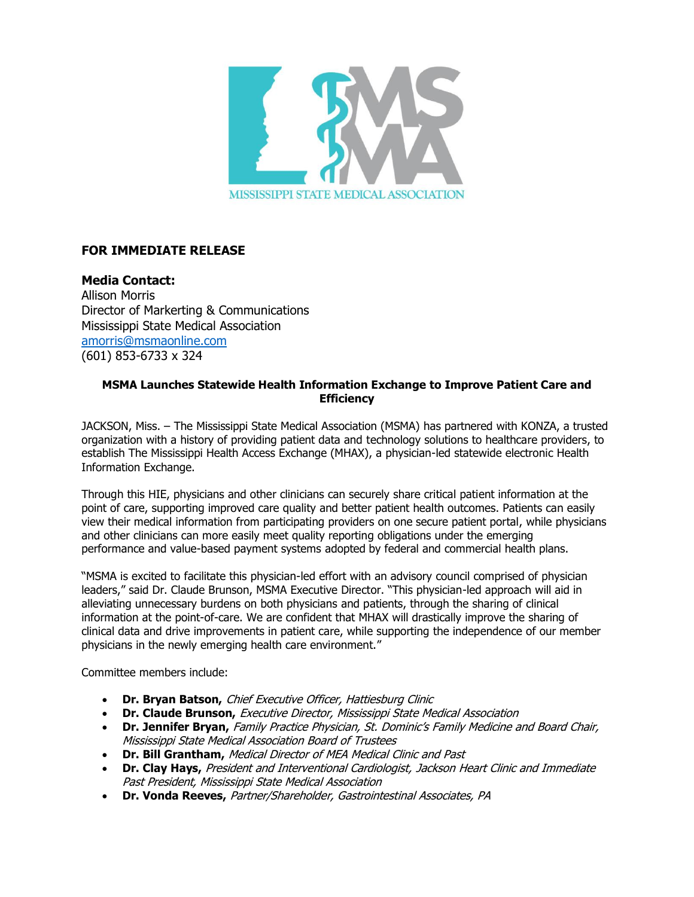

## **FOR IMMEDIATE RELEASE**

**Media Contact:** Allison Morris Director of Markerting & Communications Mississippi State Medical Association [amorris@msmaonline.com](mailto:amorris@msmaonline.com) (601) 853-6733 x 324

## **MSMA Launches Statewide Health Information Exchange to Improve Patient Care and Efficiency**

JACKSON, Miss. – The Mississippi State Medical Association (MSMA) has partnered with KONZA, a trusted organization with a history of providing patient data and technology solutions to healthcare providers, to establish The Mississippi Health Access Exchange (MHAX), a physician-led statewide electronic Health Information Exchange.

Through this HIE, physicians and other clinicians can securely share critical patient information at the point of care, supporting improved care quality and better patient health outcomes. Patients can easily view their medical information from participating providers on one secure patient portal, while physicians and other clinicians can more easily meet quality reporting obligations under the emerging performance and value-based payment systems adopted by federal and commercial health plans.

"MSMA is excited to facilitate this physician-led effort with an advisory council comprised of physician leaders," said Dr. Claude Brunson, MSMA Executive Director. "This physician-led approach will aid in alleviating unnecessary burdens on both physicians and patients, through the sharing of clinical information at the point-of-care. We are confident that MHAX will drastically improve the sharing of clinical data and drive improvements in patient care, while supporting the independence of our member physicians in the newly emerging health care environment."

Committee members include:

- **Dr. Bryan Batson,** Chief Executive Officer, Hattiesburg Clinic
- **Dr. Claude Brunson,** Executive Director, Mississippi State Medical Association
- **Dr. Jennifer Bryan,** Family Practice Physician, St. Dominic's Family Medicine and Board Chair, Mississippi State Medical Association Board of Trustees
- **Dr. Bill Grantham,** Medical Director of MEA Medical Clinic and Past
- **Dr. Clay Hays,** President and Interventional Cardiologist, Jackson Heart Clinic and Immediate Past President, Mississippi State Medical Association
- **Dr. Vonda Reeves,** Partner/Shareholder, Gastrointestinal Associates, PA